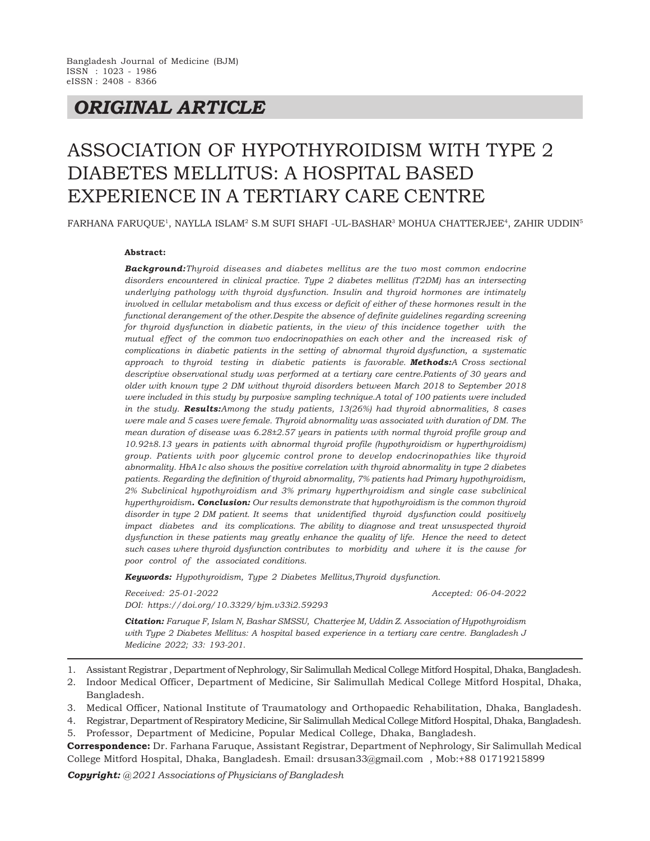# *ORIGINAL ARTICLE*

# ASSOCIATION OF HYPOTHYROIDISM WITH TYPE 2 DIABETES MELLITUS: A HOSPITAL BASED EXPERIENCE IN A TERTIARY CARE CENTRE

FARHANA FARUQUE<sup>1</sup>, NAYLLA ISLAM<sup>2</sup> S.M SUFI SHAFI -UL-BASHAR<sup>3</sup> MOHUA CHATTERJEE<sup>4</sup>, ZAHIR UDDIN<sup>5</sup>

#### **Abstract:**

*Background:Thyroid diseases and diabetes mellitus are the two most common endocrine disorders encountered in clinical practice. Type 2 diabetes mellitus (T2DM) has an intersecting underlying pathology with thyroid dysfunction. Insulin and thyroid hormones are intimately involved in cellular metabolism and thus excess or deficit of either of these hormones result in the functional derangement of the other.Despite the absence of definite guidelines regarding screening for thyroid dysfunction in diabetic patients, in the view of this incidence together with the mutual effect of the common two endocrinopathies on each other and the increased risk of complications in diabetic patients in the setting of abnormal thyroid dysfunction, a systematic approach to thyroid testing in diabetic patients is favorable. Methods:A Cross sectional descriptive observational study was performed at a tertiary care centre.Patients of 30 years and older with known type 2 DM without thyroid disorders between March 2018 to September 2018 were included in this study by purposive sampling technique.A total of 100 patients were included in the study. Results:Among the study patients, 13(26%) had thyroid abnormalities, 8 cases were male and 5 cases were female. Thyroid abnormality was associated with duration of DM. The mean duration of disease was 6.28±2.57 years in patients with normal thyroid profile group and 10.92±8.13 years in patients with abnormal thyroid profile (hypothyroidism or hyperthyroidism) group. Patients with poor glycemic control prone to develop endocrinopathies like thyroid abnormality. HbA1c also shows the positive correlation with thyroid abnormality in type 2 diabetes patients. Regarding the definition of thyroid abnormality, 7% patients had Primary hypothyroidism, 2% Subclinical hypothyroidism and 3% primary hyperthyroidism and single case subclinical hyperthyroidism. Conclusion: Our results demonstrate that hypothyroidism is the common thyroid disorder in type 2 DM patient. It seems that unidentified thyroid dysfunction could positively impact diabetes and its complications. The ability to diagnose and treat unsuspected thyroid dysfunction in these patients may greatly enhance the quality of life. Hence the need to detect such cases where thyroid dysfunction contributes to morbidity and where it is the cause for poor control of the associated conditions.*

*Keywords: Hypothyroidism, Type 2 Diabetes Mellitus,Thyroid dysfunction.*

*Received: 25-01-2022 Accepted: 06-04-2022 DOI: https://doi.org/10.3329/bjm.v33i2.59293*

*Citation: Faruque F, Islam N, Bashar SMSSU, Chatterjee M, Uddin Z. Association of Hypothyroidism with Type 2 Diabetes Mellitus: A hospital based experience in a tertiary care centre. Bangladesh J Medicine 2022; 33: 193-201.*

1. Assistant Registrar , Department of Nephrology, Sir Salimullah Medical College Mitford Hospital, Dhaka, Bangladesh.

- 2. Indoor Medical Officer, Department of Medicine, Sir Salimullah Medical College Mitford Hospital, Dhaka, Bangladesh.
- 3. Medical Officer, National Institute of Traumatology and Orthopaedic Rehabilitation, Dhaka, Bangladesh.
- 4. Registrar, Department of Respiratory Medicine, Sir Salimullah Medical College Mitford Hospital, Dhaka, Bangladesh. 5. Professor, Department of Medicine, Popular Medical College, Dhaka, Bangladesh.

**Correspondence:** Dr. Farhana Faruque, Assistant Registrar, Department of Nephrology, Sir Salimullah Medical College Mitford Hospital, Dhaka, Bangladesh. Email: drsusan33@gmail.com , Mob:+88 01719215899

*Copyright: @ 2021 Associations of Physicians of Bangladesh*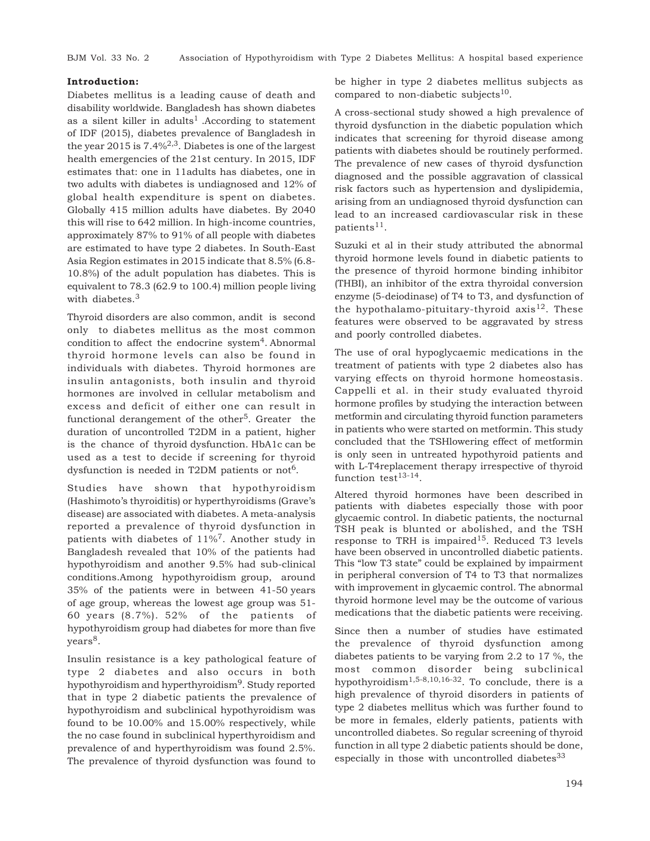# **Introduction:**

Diabetes mellitus is a leading cause of death and disability worldwide. Bangladesh has shown diabetes as a silent killer in adults $^1$  .According to statement of IDF (2015), diabetes prevalence of Bangladesh in the year 2015 is  $7.4\frac{2.3}{3}$ . Diabetes is one of the largest health emergencies of the 21st century. In 2015, IDF estimates that: one in 11adults has diabetes, one in two adults with diabetes is undiagnosed and 12% of global health expenditure is spent on diabetes. Globally 415 million adults have diabetes. By 2040 this will rise to 642 million. In high-income countries, approximately 87% to 91% of all people with diabetes are estimated to have type 2 diabetes. In South-East Asia Region estimates in 2015 indicate that 8.5% (6.8- 10.8%) of the adult population has diabetes. This is equivalent to 78.3 (62.9 to 100.4) million people living with diabetes.<sup>3</sup>

Thyroid disorders are also common, andit is second only to diabetes mellitus as the most common condition to affect the endocrine system<sup>4</sup>. Abnormal thyroid hormone levels can also be found in individuals with diabetes. Thyroid hormones are insulin antagonists, both insulin and thyroid hormones are involved in cellular metabolism and excess and deficit of either one can result in functional derangement of the other<sup>5</sup>. Greater the duration of uncontrolled T2DM in a patient, higher is the chance of thyroid dysfunction. HbA1c can be used as a test to decide if screening for thyroid dysfunction is needed in T2DM patients or not<sup>6</sup>.

Studies have shown that hypothyroidism (Hashimoto's thyroiditis) or hyperthyroidisms (Grave's disease) are associated with diabetes. A meta-analysis reported a prevalence of thyroid dysfunction in patients with diabetes of 11%7. Another study in Bangladesh revealed that 10% of the patients had hypothyroidism and another 9.5% had sub-clinical conditions.Among hypothyroidism group, around 35% of the patients were in between 41-50 years of age group, whereas the lowest age group was 51- 60 years (8.7%). 52% of the patients of hypothyroidism group had diabetes for more than five years<sup>8</sup>.

Insulin resistance is a key pathological feature of type 2 diabetes and also occurs in both hypothyroidism and hyperthyroidism<sup>9</sup>. Study reported that in type 2 diabetic patients the prevalence of hypothyroidism and subclinical hypothyroidism was found to be 10.00% and 15.00% respectively, while the no case found in subclinical hyperthyroidism and prevalence of and hyperthyroidism was found 2.5%. The prevalence of thyroid dysfunction was found to

be higher in type 2 diabetes mellitus subjects as compared to non-diabetic subjects<sup>10</sup>.

A cross-sectional study showed a high prevalence of thyroid dysfunction in the diabetic population which indicates that screening for thyroid disease among patients with diabetes should be routinely performed. The prevalence of new cases of thyroid dysfunction diagnosed and the possible aggravation of classical risk factors such as hypertension and dyslipidemia, arising from an undiagnosed thyroid dysfunction can lead to an increased cardiovascular risk in these patients<sup>11</sup>.

Suzuki et al in their study attributed the abnormal thyroid hormone levels found in diabetic patients to the presence of thyroid hormone binding inhibitor (THBI), an inhibitor of the extra thyroidal conversion enzyme (5-deiodinase) of T4 to T3, and dysfunction of the hypothalamo-pituitary-thyroid axis<sup>12</sup>. These features were observed to be aggravated by stress and poorly controlled diabetes.

The use of oral hypoglycaemic medications in the treatment of patients with type 2 diabetes also has varying effects on thyroid hormone homeostasis. Cappelli et al. in their study evaluated thyroid hormone profiles by studying the interaction between metformin and circulating thyroid function parameters in patients who were started on metformin. This study concluded that the TSHlowering effect of metformin is only seen in untreated hypothyroid patients and with L-T4replacement therapy irrespective of thyroid function test<sup>13-14</sup>.

Altered thyroid hormones have been described in patients with diabetes especially those with poor glycaemic control. In diabetic patients, the nocturnal TSH peak is blunted or abolished, and the TSH response to TRH is impaired<sup>15</sup>. Reduced T3 levels have been observed in uncontrolled diabetic patients. This "low T3 state" could be explained by impairment in peripheral conversion of T4 to T3 that normalizes with improvement in glycaemic control. The abnormal thyroid hormone level may be the outcome of various medications that the diabetic patients were receiving.

Since then a number of studies have estimated the prevalence of thyroid dysfunction among diabetes patients to be varying from 2.2 to 17 %, the most common disorder being subclinical hypothyroidism<sup>1,5-8,10,16-32</sup>. To conclude, there is a high prevalence of thyroid disorders in patients of type 2 diabetes mellitus which was further found to be more in females, elderly patients, patients with uncontrolled diabetes. So regular screening of thyroid function in all type 2 diabetic patients should be done, especially in those with uncontrolled diabetes $33$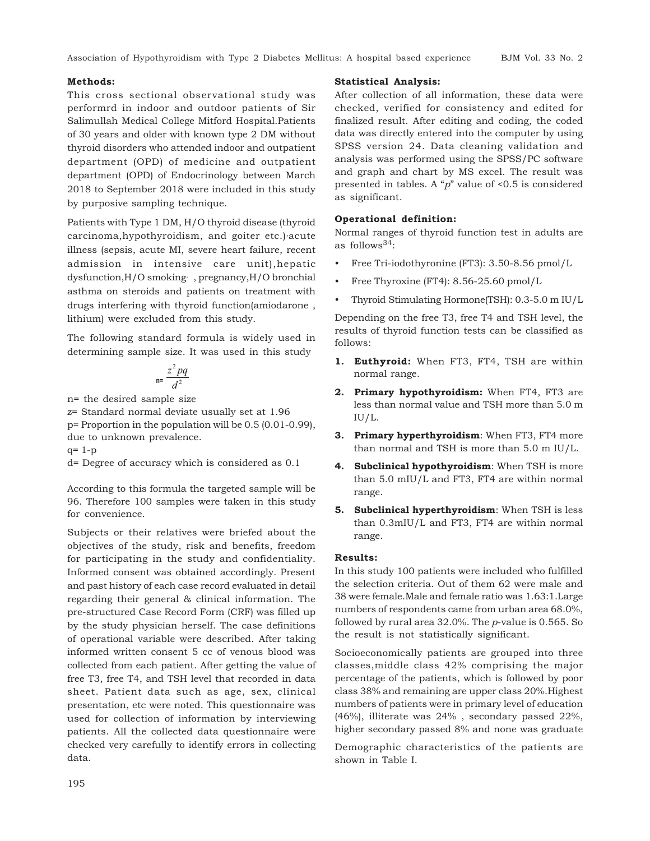Association of Hypothyroidism with Type 2 Diabetes Mellitus: A hospital based experience BJM Vol. 33 No. 2

# **Methods:**

This cross sectional observational study was performrd in indoor and outdoor patients of Sir Salimullah Medical College Mitford Hospital.Patients of 30 years and older with known type 2 DM without thyroid disorders who attended indoor and outpatient department (OPD) of medicine and outpatient department (OPD) of Endocrinology between March 2018 to September 2018 were included in this study by purposive sampling technique.

Patients with Type 1 DM, H/O thyroid disease (thyroid carcinoma,hypothyroidism, and goiter etc.) acute illness (sepsis, acute MI, severe heart failure, recent admission in intensive care unit),hepatic dysfunction,H/O smoking. , pregnancy,H/O bronchial asthma on steroids and patients on treatment with drugs interfering with thyroid function(amiodarone , lithium) were excluded from this study.

The following standard formula is widely used in determining sample size. It was used in this study

$$
n = \frac{z^2 pq}{d^2}
$$

n= the desired sample size

- z= Standard normal deviate usually set at 1.96
- p= Proportion in the population will be 0.5 (0.01-0.99), due to unknown prevalence.

q= 1-p

d= Degree of accuracy which is considered as 0.1

According to this formula the targeted sample will be 96. Therefore 100 samples were taken in this study for convenience.

Subjects or their relatives were briefed about the objectives of the study, risk and benefits, freedom for participating in the study and confidentiality. Informed consent was obtained accordingly. Present and past history of each case record evaluated in detail regarding their general & clinical information. The pre-structured Case Record Form (CRF) was filled up by the study physician herself. The case definitions of operational variable were described. After taking informed written consent 5 cc of venous blood was collected from each patient. After getting the value of free T3, free T4, and TSH level that recorded in data sheet. Patient data such as age, sex, clinical presentation, etc were noted. This questionnaire was used for collection of information by interviewing patients. All the collected data questionnaire were checked very carefully to identify errors in collecting data.

### **Statistical Analysis:**

After collection of all information, these data were checked, verified for consistency and edited for finalized result. After editing and coding, the coded data was directly entered into the computer by using SPSS version 24. Data cleaning validation and analysis was performed using the SPSS/PC software and graph and chart by MS excel. The result was presented in tables. A "*p*" value of <0.5 is considered as significant.

# **Operational definition:**

Normal ranges of thyroid function test in adults are as follows $34$ :

- Free Tri-iodothyronine (FT3): 3.50-8.56 pmol/L
- Free Thyroxine (FT4): 8.56-25.60 pmol/L
- Thyroid Stimulating Hormone(TSH): 0.3-5.0 m IU/L

Depending on the free T3, free T4 and TSH level, the results of thyroid function tests can be classified as follows:

- **1. Euthyroid:** When FT3, FT4, TSH are within normal range.
- **2. Primary hypothyroidism:** When FT4, FT3 are less than normal value and TSH more than 5.0 m IU/L.
- **3. Primary hyperthyroidism**: When FT3, FT4 more than normal and TSH is more than 5.0 m IU/L.
- **4. Subclinical hypothyroidism**: When TSH is more than 5.0 mIU/L and FT3, FT4 are within normal range.
- **5. Subclinical hyperthyroidism**: When TSH is less than 0.3mIU/L and FT3, FT4 are within normal range.

#### **Results:**

In this study 100 patients were included who fulfilled the selection criteria. Out of them 62 were male and 38 were female.Male and female ratio was 1.63:1.Large numbers of respondents came from urban area 68.0%, followed by rural area 32.0%. The *p*-value is 0.565. So the result is not statistically significant.

Socioeconomically patients are grouped into three classes,middle class 42% comprising the major percentage of the patients, which is followed by poor class 38% and remaining are upper class 20%.Highest numbers of patients were in primary level of education (46%), illiterate was 24% , secondary passed 22%, higher secondary passed 8% and none was graduate

Demographic characteristics of the patients are shown in Table I.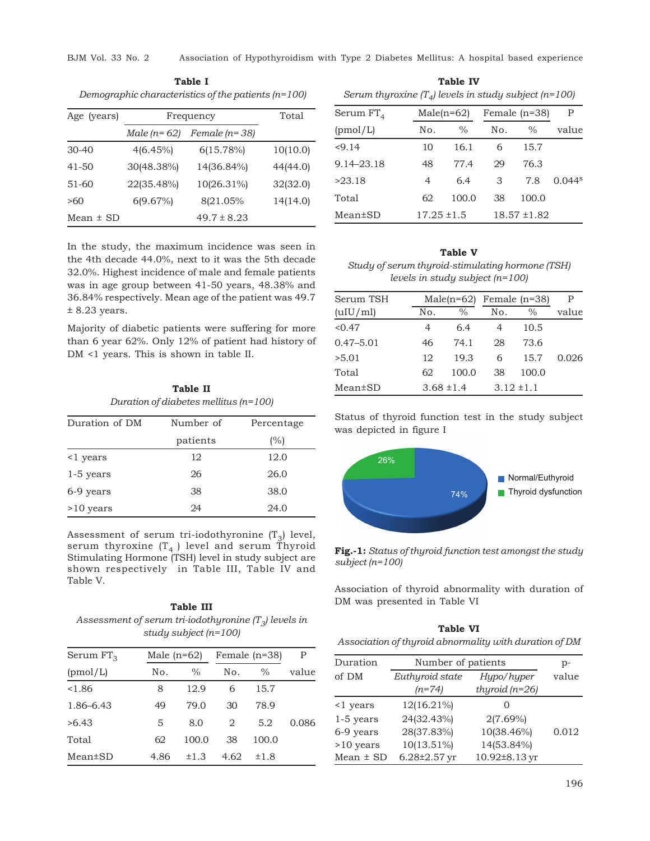BJM Vol. 33 No. 2 Association of Hypothyroidism with Type 2 Diabetes Mellitus: A hospital based experience

| Demographic characteristics of the patients $(n=100)$ |               |                 |          |  |  |
|-------------------------------------------------------|---------------|-----------------|----------|--|--|
| Age (years)                                           | Frequency     | Total           |          |  |  |
|                                                       | Male $(n=62)$ | Female $(n=38)$ |          |  |  |
| 30-40                                                 | 4(6.45%)      | $6(15.78\%)$    | 10(10.0) |  |  |
| 41-50                                                 | 30(48.38%)    | 14(36.84%)      | 44(44.0) |  |  |
| 51-60                                                 | 22(35.48%)    | 10(26.31%)      | 32(32.0) |  |  |
|                                                       |               |                 |          |  |  |

>60 6(9.67%) 8(21.05% 14(14.0)

Mean  $\pm$  SD 49.7  $\pm$  8.23

**Table I**

In the study, the maximum incidence was seen in the 4th decade 44.0%, next to it was the 5th decade 32.0%. Highest incidence of male and female patients was in age group between 41-50 years, 48.38% and 36.84% respectively. Mean age of the patient was 49.7 ± 8.23 years.

Majority of diabetic patients were suffering for more than 6 year 62%. Only 12% of patient had history of DM <1 years. This is shown in table II.

| Table II                                  |
|-------------------------------------------|
| Duration of diabetes mellitus ( $n=100$ ) |

| Duration of DM | Number of | Percentage |
|----------------|-----------|------------|
|                | patients  | (%)        |
| $\leq$ 1 years | 12        | 12.0       |
| $1-5$ years    | 26        | 26.0       |
| 6-9 years      | 38        | 38.0       |
| $>10$ years    | 24        | 24.0       |

Assessment of serum tri-iodothyronine  $(T_3)$  level, serum thyroxine  $(T_4)$  level and serum Thyroid Stimulating Hormone (TSH) level in study subject are shown respectively in Table III, Table IV and Table V.

**Table III** *Assessment of serum tri-iodothyronine (T<sup>3</sup> ) levels in study subject (n=100)*

| Serum $FT_3$ | Male $(n=62)$ |               |      | Female $(n=38)$ | Ρ     |
|--------------|---------------|---------------|------|-----------------|-------|
| (pmol/L)     | No.           | $\frac{0}{0}$ | No.  | $\frac{0}{0}$   | value |
| 1.86         | 8             | 12.9          | 6    | 15.7            |       |
| 1.86-6.43    | 49            | 79.0          | 30   | 78.9            |       |
| >6.43        | 5             | 8.0           | 2    | 5.2             | 0.086 |
| Total        | 62            | 100.0         | 38   | 100.0           |       |
| Mean±SD      | 4.86          | ±1.3          | 4.62 | ±1.8            |       |

**Table IV** *Serum thyroxine (T<sup>4</sup> ) levels in study subject (n=100)*

| Serum $FT_4$ | $Male(n=62)$    |       | Female $(n=38)$ |                  | P                    |
|--------------|-----------------|-------|-----------------|------------------|----------------------|
| (pmol/L)     | No.             | $\%$  | No.             | $\%$             | value                |
| 59.14        | 10              | 16.1  | 6               | 15.7             |                      |
| 9.14–23.18   | 48              | 77.4  | 29              | 76.3             |                      |
| >23.18       | 4               | 6.4   | 3               | 7.8              | $0.044$ <sup>s</sup> |
| Total        | 62              | 100.0 | 38              | 100.0            |                      |
| Mean±SD      | $17.25 \pm 1.5$ |       |                 | $18.57 \pm 1.82$ |                      |

**Table V** *Study of serum thyroid-stimulating hormone (TSH) levels in study subject (n=100)*

| Serum TSH     |     |                |     | Male( $n=62$ ) Female ( $n=38$ ) |       |
|---------------|-----|----------------|-----|----------------------------------|-------|
| (uIU/ml)      | No. | $\frac{0}{0}$  | No. | $\%$                             | value |
| < 0.47        | 4   | 6.4            | 4   | 10.5                             |       |
| $0.47 - 5.01$ | 46  | 74.1           | 28  | 73.6                             |       |
| >5.01         | 12  | 19.3           | 6   | 15.7                             | 0.026 |
| Total         | 62  | 100.0          | 38  | 100.0                            |       |
| $Mean \pm SD$ |     | $3.68 \pm 1.4$ |     | $3.12 \pm 1.1$                   |       |

Status of thyroid function test in the study subject was depicted in figure I



**Fig.-1:** *Status of thyroid function test amongst the study subject (n=100)*

Association of thyroid abnormality with duration of DM was presented in Table VI

**Table VI** *Association of thyroid abnormality with duration of DM*

| Duration       | Number of patients            | p-               |       |
|----------------|-------------------------------|------------------|-------|
| of DM          | Euthyroid state<br>Hypo/hyper |                  | value |
|                | $(n=74)$                      | thyroid $(n=26)$ |       |
| $\leq$ 1 years | $12(16.21\%)$                 |                  |       |
| $1-5$ years    | 24(32.43%)                    | $2(7.69\%)$      |       |
| 6-9 years      | 28(37.83%)                    | 10(38.46%)       | 0.012 |
| $>10$ years    | 10(13.51%)                    | 14(53.84%)       |       |
| Mean $\pm$ SD  | $6.28 \pm 2.57$ yr            | 10.92±8.13 yr    |       |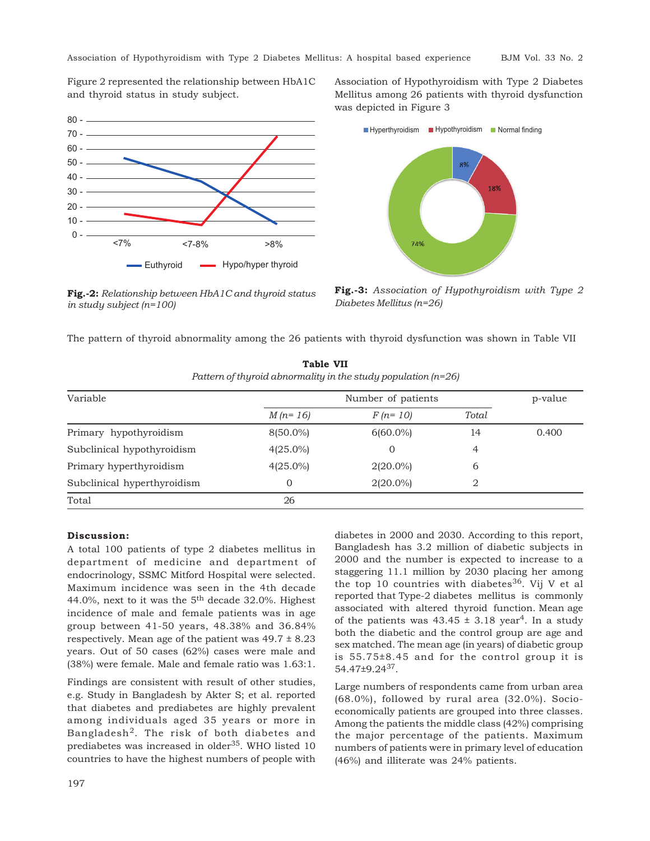Figure 2 represented the relationship between HbA1C and thyroid status in study subject.



**Fig.-2:** *Relationship between HbA1C and thyroid status in study subject (n=100)*

Association of Hypothyroidism with Type 2 Diabetes Mellitus among 26 patients with thyroid dysfunction was depicted in Figure 3



**Fig.-3:** *Association of Hypothyroidism with Type 2 Diabetes Mellitus (n=26)*

The pattern of thyroid abnormality among the 26 patients with thyroid dysfunction was shown in Table VII

| Variable                    |             | p-value     |       |       |
|-----------------------------|-------------|-------------|-------|-------|
|                             | $M(n=16)$   | $F(n=10)$   | Total |       |
| Primary hypothyroidism      | $8(50.0\%)$ | $6(60.0\%)$ | 14    | 0.400 |
| Subclinical hypothyroidism  | $4(25.0\%)$ | 0           | 4     |       |
| Primary hyperthyroidism     | $4(25.0\%)$ | $2(20.0\%)$ | 6     |       |
| Subclinical hyperthyroidism | $\Omega$    | $2(20.0\%)$ | 2     |       |
| Total                       | 26          |             |       |       |

**Table VII** *Pattern of thyroid abnormality in the study population (n=26)*

# **Discussion:**

A total 100 patients of type 2 diabetes mellitus in department of medicine and department of endocrinology, SSMC Mitford Hospital were selected. Maximum incidence was seen in the 4th decade 44.0%, next to it was the  $5<sup>th</sup>$  decade 32.0%. Highest incidence of male and female patients was in age group between 41-50 years, 48.38% and 36.84% respectively. Mean age of the patient was  $49.7 \pm 8.23$ years. Out of 50 cases (62%) cases were male and (38%) were female. Male and female ratio was 1.63:1.

Findings are consistent with result of other studies, e.g. Study in Bangladesh by Akter S; et al. reported that diabetes and prediabetes are highly prevalent among individuals aged 35 years or more in Bangladesh2. The risk of both diabetes and prediabetes was increased in older<sup>35</sup>. WHO listed 10 countries to have the highest numbers of people with

diabetes in 2000 and 2030. According to this report, Bangladesh has 3.2 million of diabetic subjects in 2000 and the number is expected to increase to a staggering 11.1 million by 2030 placing her among the top 10 countries with diabetes<sup>36</sup>. Vij V et al reported that Type-2 diabetes mellitus is commonly associated with altered thyroid function. Mean age of the patients was  $43.45 \pm 3.18$  year<sup>4</sup>. In a study both the diabetic and the control group are age and sex matched. The mean age (in years) of diabetic group is 55.75±8.45 and for the control group it is 54.47±9.2437.

Large numbers of respondents came from urban area (68.0%), followed by rural area (32.0%). Socioeconomically patients are grouped into three classes. Among the patients the middle class (42%) comprising the major percentage of the patients. Maximum numbers of patients were in primary level of education (46%) and illiterate was 24% patients.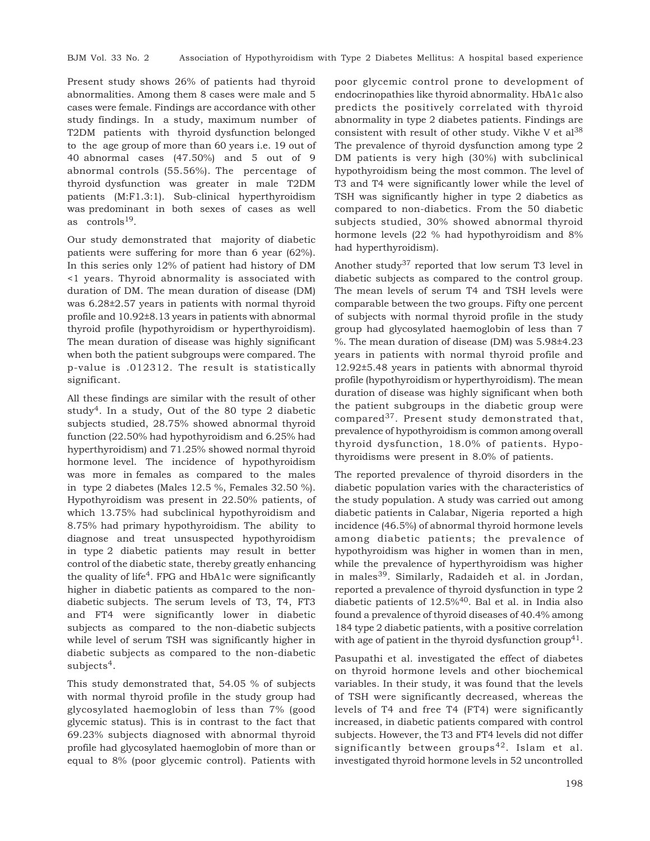BJM Vol. 33 No. 2 Association of Hypothyroidism with Type 2 Diabetes Mellitus: A hospital based experience

Present study shows 26% of patients had thyroid abnormalities. Among them 8 cases were male and 5 cases were female. Findings are accordance with other study findings. In a study, maximum number of T2DM patients with thyroid dysfunction belonged to the age group of more than 60 years i.e. 19 out of 40 abnormal cases (47.50%) and 5 out of 9 abnormal controls (55.56%). The percentage of thyroid dysfunction was greater in male T2DM patients (M:F1.3:1). Sub-clinical hyperthyroidism was predominant in both sexes of cases as well as  $controls<sup>19</sup>$ .

Our study demonstrated that majority of diabetic patients were suffering for more than 6 year (62%). In this series only 12% of patient had history of DM <1 years. Thyroid abnormality is associated with duration of DM. The mean duration of disease (DM) was 6.28±2.57 years in patients with normal thyroid profile and 10.92±8.13 years in patients with abnormal thyroid profile (hypothyroidism or hyperthyroidism). The mean duration of disease was highly significant when both the patient subgroups were compared. The p-value is .012312. The result is statistically significant.

All these findings are similar with the result of other study<sup>4</sup>. In a study, Out of the 80 type 2 diabetic subjects studied, 28.75% showed abnormal thyroid function (22.50% had hypothyroidism and 6.25% had hyperthyroidism) and 71.25% showed normal thyroid hormone level. The incidence of hypothyroidism was more in females as compared to the males in type 2 diabetes (Males 12.5 %, Females 32.50 %). Hypothyroidism was present in 22.50% patients, of which 13.75% had subclinical hypothyroidism and 8.75% had primary hypothyroidism. The ability to diagnose and treat unsuspected hypothyroidism in type 2 diabetic patients may result in better control of the diabetic state, thereby greatly enhancing the quality of life<sup>4</sup>. FPG and HbA1c were significantly higher in diabetic patients as compared to the nondiabetic subjects. The serum levels of T3, T4, FT3 and FT4 were significantly lower in diabetic subjects as compared to the non-diabetic subjects while level of serum TSH was significantly higher in diabetic subjects as compared to the non-diabetic subjects<sup>4</sup>.

This study demonstrated that, 54.05 % of subjects with normal thyroid profile in the study group had glycosylated haemoglobin of less than 7% (good glycemic status). This is in contrast to the fact that 69.23% subjects diagnosed with abnormal thyroid profile had glycosylated haemoglobin of more than or equal to 8% (poor glycemic control). Patients with

poor glycemic control prone to development of endocrinopathies like thyroid abnormality. HbA1c also predicts the positively correlated with thyroid abnormality in type 2 diabetes patients. Findings are consistent with result of other study. Vikhe V et  $al^{38}$ The prevalence of thyroid dysfunction among type 2 DM patients is very high (30%) with subclinical hypothyroidism being the most common. The level of T3 and T4 were significantly lower while the level of TSH was significantly higher in type 2 diabetics as compared to non-diabetics. From the 50 diabetic subjects studied, 30% showed abnormal thyroid hormone levels (22 % had hypothyroidism and 8% had hyperthyroidism).

Another study37 reported that low serum T3 level in diabetic subjects as compared to the control group. The mean levels of serum T4 and TSH levels were comparable between the two groups. Fifty one percent of subjects with normal thyroid profile in the study group had glycosylated haemoglobin of less than 7 %. The mean duration of disease (DM) was 5.98±4.23 years in patients with normal thyroid profile and 12.92±5.48 years in patients with abnormal thyroid profile (hypothyroidism or hyperthyroidism). The mean duration of disease was highly significant when both the patient subgroups in the diabetic group were compared $37$ . Present study demonstrated that, prevalence of hypothyroidism is common among overall thyroid dysfunction, 18.0% of patients. Hypothyroidisms were present in 8.0% of patients.

The reported prevalence of thyroid disorders in the diabetic population varies with the characteristics of the study population. A study was carried out among diabetic patients in Calabar, Nigeria reported a high incidence (46.5%) of abnormal thyroid hormone levels among diabetic patients; the prevalence of hypothyroidism was higher in women than in men, while the prevalence of hyperthyroidism was higher in males<sup>39</sup>. Similarly, Radaideh et al. in Jordan, reported a prevalence of thyroid dysfunction in type 2 diabetic patients of 12.5%40. Bal et al. in India also found a prevalence of thyroid diseases of 40.4% among 184 type 2 diabetic patients, with a positive correlation with age of patient in the thyroid dysfunction group<sup>41</sup>.

Pasupathi et al. investigated the effect of diabetes on thyroid hormone levels and other biochemical variables. In their study, it was found that the levels of TSH were significantly decreased, whereas the levels of T4 and free T4 (FT4) were significantly increased, in diabetic patients compared with control subjects. However, the T3 and FT4 levels did not differ significantly between groups<sup>42</sup>. Islam et al. investigated thyroid hormone levels in 52 uncontrolled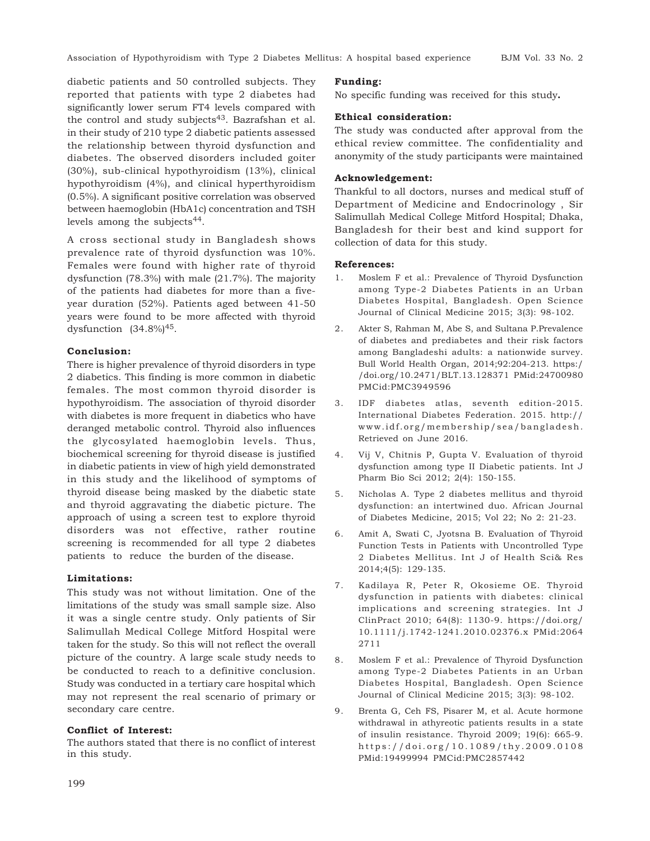diabetic patients and 50 controlled subjects. They reported that patients with type 2 diabetes had significantly lower serum FT4 levels compared with the control and study subjects<sup>43</sup>. Bazrafshan et al. in their study of 210 type 2 diabetic patients assessed the relationship between thyroid dysfunction and diabetes. The observed disorders included goiter (30%), sub-clinical hypothyroidism (13%), clinical hypothyroidism (4%), and clinical hyperthyroidism (0.5%). A significant positive correlation was observed between haemoglobin (HbA1c) concentration and TSH levels among the subjects<sup>44</sup>.

A cross sectional study in Bangladesh shows prevalence rate of thyroid dysfunction was 10%. Females were found with higher rate of thyroid dysfunction (78.3%) with male (21.7%). The majority of the patients had diabetes for more than a fiveyear duration (52%). Patients aged between 41-50 years were found to be more affected with thyroid dysfunction  $(34.8\%)^{45}$ .

# **Conclusion:**

There is higher prevalence of thyroid disorders in type 2 diabetics. This finding is more common in diabetic females. The most common thyroid disorder is hypothyroidism. The association of thyroid disorder with diabetes is more frequent in diabetics who have deranged metabolic control. Thyroid also influences the glycosylated haemoglobin levels. Thus, biochemical screening for thyroid disease is justified in diabetic patients in view of high yield demonstrated in this study and the likelihood of symptoms of thyroid disease being masked by the diabetic state and thyroid aggravating the diabetic picture. The approach of using a screen test to explore thyroid disorders was not effective, rather routine screening is recommended for all type 2 diabetes patients to reduce the burden of the disease.

#### **Limitations:**

This study was not without limitation. One of the limitations of the study was small sample size. Also it was a single centre study. Only patients of Sir Salimullah Medical College Mitford Hospital were taken for the study. So this will not reflect the overall picture of the country. A large scale study needs to be conducted to reach to a definitive conclusion. Study was conducted in a tertiary care hospital which may not represent the real scenario of primary or secondary care centre.

# **Conflict of Interest:**

The authors stated that there is no conflict of interest in this study.

#### **Funding:**

No specific funding was received for this study**.**

#### **Ethical consideration:**

The study was conducted after approval from the ethical review committee. The confidentiality and anonymity of the study participants were maintained

#### **Acknowledgement:**

Thankful to all doctors, nurses and medical stuff of Department of Medicine and Endocrinology , Sir Salimullah Medical College Mitford Hospital; Dhaka, Bangladesh for their best and kind support for collection of data for this study.

#### **References:**

- 1. Moslem F et al.: Prevalence of Thyroid Dysfunction among Type-2 Diabetes Patients in an Urban Diabetes Hospital, Bangladesh. Open Science Journal of Clinical Medicine 2015; 3(3): 98-102.
- 2. Akter S, Rahman M, Abe S, and Sultana P.Prevalence of diabetes and prediabetes and their risk factors among Bangladeshi adults: a nationwide survey. Bull World Health Organ, 2014;92:204-213. https:/ /doi.org/10.2471/BLT.13.128371 PMid:24700980 PMCid:PMC3949596
- 3. IDF diabetes atlas, seventh edition-2015. International Diabetes Federation. 2015. http:// www.idf.org/membership/sea/bangladesh. Retrieved on June 2016.
- 4. Vij V, Chitnis P, Gupta V. Evaluation of thyroid dysfunction among type II Diabetic patients. Int J Pharm Bio Sci 2012; 2(4): 150-155.
- 5. Nicholas A. Type 2 diabetes mellitus and thyroid dysfunction: an intertwined duo. African Journal of Diabetes Medicine, 2015; Vol 22; No 2: 21-23.
- 6. Amit A, Swati C, Jyotsna B. Evaluation of Thyroid Function Tests in Patients with Uncontrolled Type 2 Diabetes Mellitus. Int J of Health Sci& Res 2014;4(5): 129-135.
- 7. Kadilaya R, Peter R, Okosieme OE. Thyroid dysfunction in patients with diabetes: clinical implications and screening strategies. Int J ClinPract 2010; 64(8): 1130-9. https://doi.org/ 10.1111/j.1742-1241.2010.02376.x PMid:2064 2711
- 8. Moslem F et al.: Prevalence of Thyroid Dysfunction among Type-2 Diabetes Patients in an Urban Diabetes Hospital, Bangladesh. Open Science Journal of Clinical Medicine 2015; 3(3): 98-102.
- 9. Brenta G, Ceh FS, Pisarer M, et al. Acute hormone withdrawal in athyreotic patients results in a state of insulin resistance. Thyroid 2009; 19(6): 665-9. https://doi.org/10.1089/thy.2009.0108 PMid:19499994 PMCid:PMC2857442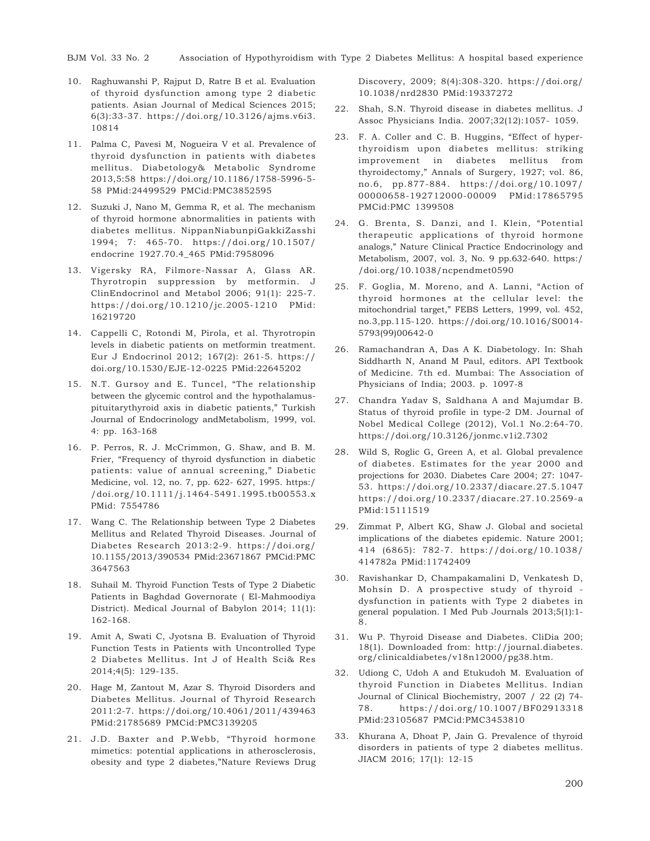BJM Vol. 33 No. 2 Association of Hypothyroidism with Type 2 Diabetes Mellitus: A hospital based experience

- 10. Raghuwanshi P, Rajput D, Ratre B et al. Evaluation of thyroid dysfunction among type 2 diabetic patients. Asian Journal of Medical Sciences 2015; 6(3):33-37. https://doi.org/10.3126/ajms.v6i3. 10814
- 11. Palma C, Pavesi M, Nogueira V et al. Prevalence of thyroid dysfunction in patients with diabetes mellitus. Diabetology& Metabolic Syndrome 2013,5:58 https://doi.org/10.1186/1758-5996-5- 58 PMid:24499529 PMCid:PMC3852595
- 12. Suzuki J, Nano M, Gemma R, et al. The mechanism of thyroid hormone abnormalities in patients with diabetes mellitus. NippanNiabunpiGakkiZasshi 1994; 7: 465-70. https://doi.org/10.1507/ endocrine 1927.70.4\_465 PMid:7958096
- 13. Vigersky RA, Filmore-Nassar A, Glass AR. Thyrotropin suppression by metformin. J ClinEndocrinol and Metabol 2006; 91(1): 225-7. https://doi.org/10.1210/jc.2005-1210 PMid: 16219720
- 14. Cappelli C, Rotondi M, Pirola, et al. Thyrotropin levels in diabetic patients on metformin treatment. Eur J Endocrinol 2012; 167(2): 261-5. https:// doi.org/10.1530/EJE-12-0225 PMid:22645202
- 15. N.T. Gursoy and E. Tuncel, "The relationship between the glycemic control and the hypothalamuspituitarythyroid axis in diabetic patients," Turkish Journal of Endocrinology andMetabolism, 1999, vol. 4: pp. 163-168
- 16. P. Perros, R. J. McCrimmon, G. Shaw, and B. M. Frier, "Frequency of thyroid dysfunction in diabetic patients: value of annual screening," Diabetic Medicine, vol. 12, no. 7, pp. 622- 627, 1995. https:/ /doi.org/10.1111/j.1464-5491.1995.tb00553.x PMid: 7554786
- 17. Wang C. The Relationship between Type 2 Diabetes Mellitus and Related Thyroid Diseases. Journal of Diabetes Research 2013:2-9. https://doi.org/ 10.1155/2013/390534 PMid:23671867 PMCid:PMC 3647563
- 18. Suhail M. Thyroid Function Tests of Type 2 Diabetic Patients in Baghdad Governorate ( El-Mahmoodiya District). Medical Journal of Babylon 2014; 11(1): 162-168.
- 19. Amit A, Swati C, Jyotsna B. Evaluation of Thyroid Function Tests in Patients with Uncontrolled Type 2 Diabetes Mellitus. Int J of Health Sci& Res 2014;4(5): 129-135.
- 20. Hage M, Zantout M, Azar S. Thyroid Disorders and Diabetes Mellitus. Journal of Thyroid Research 2011:2-7. https://doi.org/10.4061/2011/439463 PMid:21785689 PMCid:PMC3139205
- 21. J.D. Baxter and P.Webb, "Thyroid hormone mimetics: potential applications in atherosclerosis, obesity and type 2 diabetes,"Nature Reviews Drug

Discovery, 2009; 8(4):308-320. https://doi.org/ 10.1038/nrd2830 PMid:19337272

- 22. Shah, S.N. Thyroid disease in diabetes mellitus. J Assoc Physicians India. 2007;32(12):1057- 1059.
- 23. F. A. Coller and C. B. Huggins, "Effect of hyperthyroidism upon diabetes mellitus: striking improvement in diabetes mellitus from thyroidectomy," Annals of Surgery, 1927; vol. 86, no.6, pp.877-884. https://doi.org/10.1097/ 00000658-192712000-00009 PMid:17865795 PMCid:PMC 1399508
- 24. G. Brenta, S. Danzi, and I. Klein, "Potential therapeutic applications of thyroid hormone analogs," Nature Clinical Practice Endocrinology and Metabolism, 2007, vol. 3, No. 9 pp.632-640. https:/ /doi.org/10.1038/ncpendmet0590
- 25. F. Goglia, M. Moreno, and A. Lanni, "Action of thyroid hormones at the cellular level: the mitochondrial target," FEBS Letters, 1999, vol. 452, no.3,pp.115-120. https://doi.org/10.1016/S0014- 5793(99)00642-0
- 26. Ramachandran A, Das A K. Diabetology. In: Shah Siddharth N, Anand M Paul, editors. API Textbook of Medicine. 7th ed. Mumbai: The Association of Physicians of India; 2003. p. 1097-8
- 27. Chandra Yadav S, Saldhana A and Majumdar B. Status of thyroid profile in type-2 DM. Journal of Nobel Medical College (2012), Vol.1 No.2:64-70. https://doi.org/10.3126/jonmc.v1i2.7302
- 28. Wild S, Roglic G, Green A, et al. Global prevalence of diabetes. Estimates for the year 2000 and projections for 2030. Diabetes Care 2004; 27: 1047- 53. https://doi.org/10.2337/diacare.27.5.1047 https://doi.org/10.2337/diacare.27.10.2569-a PMid:15111519
- 29. Zimmat P, Albert KG, Shaw J. Global and societal implications of the diabetes epidemic. Nature 2001; 414 (6865): 782-7. https://doi.org/10.1038/ 414782a PMid:11742409
- 30. Ravishankar D, Champakamalini D, Venkatesh D, Mohsin D. A prospective study of thyroid dysfunction in patients with Type 2 diabetes in general population. I Med Pub Journals 2013;5(1):1- 8.
- 31. Wu P. Thyroid Disease and Diabetes. CliDia 200; 18(1). Downloaded from: http://journal.diabetes. org/clinicaldiabetes/v18n12000/pg38.htm.
- 32. Udiong C, Udoh A and Etukudoh M. Evaluation of thyroid Function in Diabetes Mellitus. Indian Journal of Clinical Biochemistry, 2007 / 22 (2) 74- 78. https://doi.org/10.1007/BF02913318 PMid:23105687 PMCid:PMC3453810
- 33. Khurana A, Dhoat P, Jain G. Prevalence of thyroid disorders in patients of type 2 diabetes mellitus. JIACM 2016; 17(1): 12-15